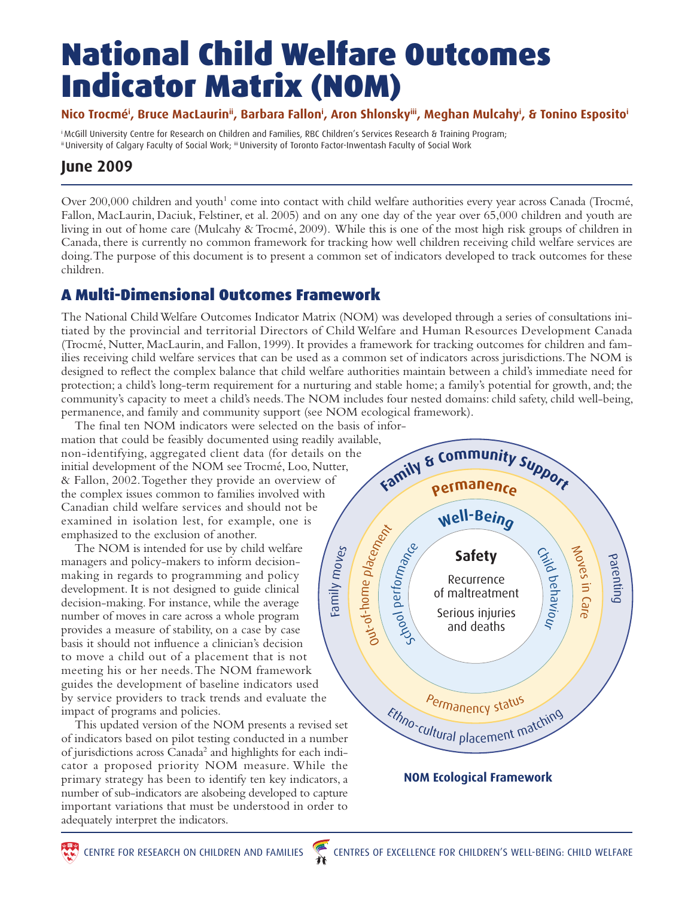# **National Child Welfare Outcomes Indicator Matrix (NOM)**

## Nico Trocmé<sup>i</sup>, Bruce MacLaurin'<sup>i</sup>, Barbara Fallon', Aron Shlonsky''', Meghan Mulcahy', & Tonino Esposito<sup>i</sup>

i McGill University Centre for Research on Children and Families, RBC Children's Services Research & Training Program; ii University of Calgary Faculty of Social Work; iii University of Toronto Factor-Inwentash Faculty of Social Work

# **June 2009**

Over  $200,000$  children and youth<sup>1</sup> come into contact with child welfare authorities every year across Canada (Trocmé, Fallon, MacLaurin, Daciuk, Felstiner, et al. 2005) and on any one day of the year over 65,000 children and youth are living in out of home care (Mulcahy & Trocmé, 2009). While this is one of the most high risk groups of children in Canada, there is currently no common framework for tracking how well children receiving child welfare services are doing.The purpose of this document is to present a common set of indicators developed to track outcomes for these children.

## **A Multi-Dimensional Outcomes Framework**

The National ChildWelfare Outcomes Indicator Matrix (NOM) was developed through a series of consultations initiated by the provincial and territorial Directors of Child Welfare and Human Resources Development Canada (Trocmé, Nutter, MacLaurin, and Fallon, 1999). It provides a framework for tracking outcomes for children and families receiving child welfare services that can be used as a common set of indicators across jurisdictions.The NOM is designed to reflect the complex balance that child welfare authorities maintain between a child's immediate need for protection; a child's long-term requirement for a nurturing and stable home; a family's potential for growth, and; the community's capacity to meet a child's needs.The NOM includes four nested domains: child safety, child well-being, permanence, and family and community support (see NOM ecological framework).

The final ten NOM indicators were selected on the basis of information that could be feasibly documented using readily available, non-identifying, aggregated client data (for details on the initial development of the NOM see Trocmé, Loo, Nutter, & Fallon, 2002.Together they provide an overview of the complex issues common to families involved with Canadian child welfare services and should not be examined in isolation lest, for example, one is emphasized to the exclusion of another.

The NOM is intended for use by child welfare managers and policy-makers to inform decisionmaking in regards to programming and policy development. It is not designed to guide clinical decision-making. For instance, while the average number of moves in care across a whole program provides a measure of stability, on a case by case basis it should not influence a clinician's decision to move a child out of a placement that is not meeting his or her needs.The NOM framework guides the development of baseline indicators used by service providers to track trends and evaluate the impact of programs and policies.

This updated version of the NOM presents a revised set of indicators based on pilot testing conducted in a number of jurisdictions across Canada<sup>2</sup> and highlights for each indicator a proposed priority NOM measure. While the primary strategy has been to identify ten key indicators, a number of sub-indicators are alsobeing developed to capture important variations that must be understood in order to adequately interpret the indicators.



## **NOM Ecological Framework**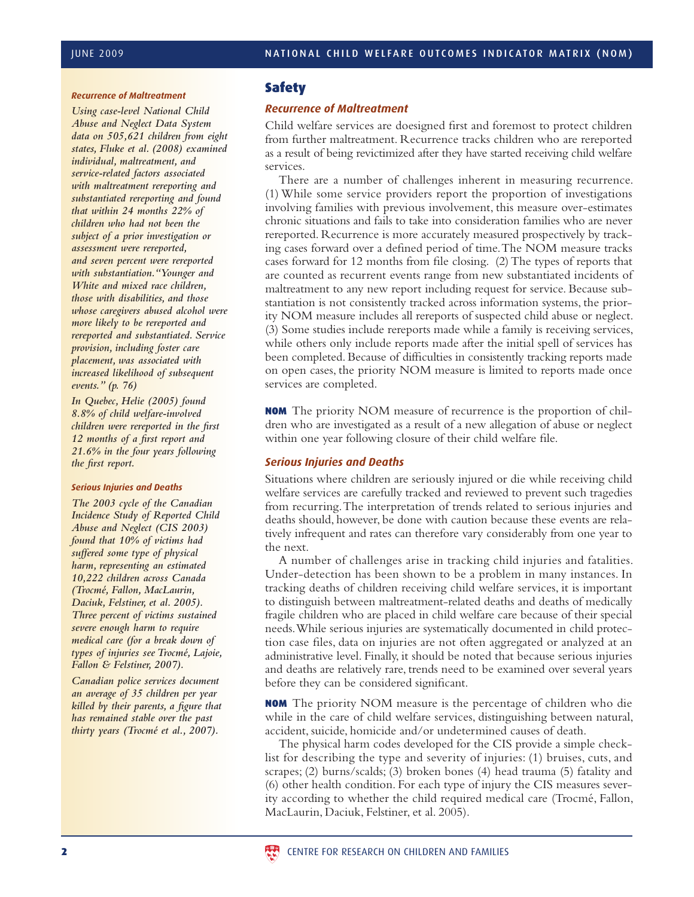#### *Recurrence of Maltreatment*

*Using case-level National Child Abuse and Neglect Data System data on 505,621 children from eight states, Fluke et al. (2008) examined individual, maltreatment, and service-related factors associated with maltreatment rereporting and substantiated rereporting and found that within 24 months 22% of children who had not been the subject of a prior investigation or assessment were rereported, and seven percent were rereported with substantiation."Younger and White and mixed race children, those with disabilities, and those whose caregivers abused alcohol were more likely to be rereported and rereported and substantiated. Service provision, including foster care placement, was associated with increased likelihood of subsequent events." (p. 76)*

*In Quebec, Helie (2005) found 8.8% of child welfare-involved children were rereported in the first 12 months of a first report and 21.6% in the four years following the first report.*

#### *Serious Injuries and Deaths*

*The 2003 cycle of the Canadian Incidence Study of Reported Child Abuse and Neglect (CIS 2003) found that 10% of victims had suffered some type of physical harm, representing an estimated 10,222 children across Canada (Trocmé, Fallon, MacLaurin, Daciuk, Felstiner, et al. 2005). Three percent of victims sustained severe enough harm to require medical care (for a break down of types of injuries see Trocmé, Lajoie, Fallon & Felstiner, 2007).*

*Canadian police services document an average of 35 children per year killed by their parents, a figure that has remained stable over the past thirty years (Trocmé et al., 2007).*

## **Safety**

#### *Recurrence of Maltreatment*

Child welfare services are doesigned first and foremost to protect children from further maltreatment. Recurrence tracks children who are rereported as a result of being revictimized after they have started receiving child welfare services.

There are a number of challenges inherent in measuring recurrence. (1) While some service providers report the proportion of investigations involving families with previous involvement, this measure over-estimates chronic situations and fails to take into consideration families who are never rereported. Recurrence is more accurately measured prospectively by tracking cases forward over a defined period of time.The NOM measure tracks cases forward for 12 months from file closing. (2) The types of reports that are counted as recurrent events range from new substantiated incidents of maltreatment to any new report including request for service. Because substantiation is not consistently tracked across information systems, the priority NOM measure includes all rereports of suspected child abuse or neglect. (3) Some studies include rereports made while a family is receiving services, while others only include reports made after the initial spell of services has been completed. Because of difficulties in consistently tracking reports made on open cases, the priority NOM measure is limited to reports made once services are completed.

**NOM** The priority NOM measure of recurrence is the proportion of children who are investigated as a result of a new allegation of abuse or neglect within one year following closure of their child welfare file.

#### *Serious Injuries and Deaths*

Situations where children are seriously injured or die while receiving child welfare services are carefully tracked and reviewed to prevent such tragedies from recurring.The interpretation of trends related to serious injuries and deaths should, however, be done with caution because these events are relatively infrequent and rates can therefore vary considerably from one year to the next.

A number of challenges arise in tracking child injuries and fatalities. Under-detection has been shown to be a problem in many instances. In tracking deaths of children receiving child welfare services, it is important to distinguish between maltreatment-related deaths and deaths of medically fragile children who are placed in child welfare care because of their special needs.While serious injuries are systematically documented in child protection case files, data on injuries are not often aggregated or analyzed at an administrative level. Finally, it should be noted that because serious injuries and deaths are relatively rare, trends need to be examined over several years before they can be considered significant.

**NOM** The priority NOM measure is the percentage of children who die while in the care of child welfare services, distinguishing between natural, accident, suicide, homicide and/or undetermined causes of death.

The physical harm codes developed for the CIS provide a simple checklist for describing the type and severity of injuries: (1) bruises, cuts, and scrapes; (2) burns/scalds; (3) broken bones (4) head trauma (5) fatality and (6) other health condition. For each type of injury the CIS measures severity according to whether the child required medical care (Trocmé, Fallon, MacLaurin, Daciuk, Felstiner, et al. 2005).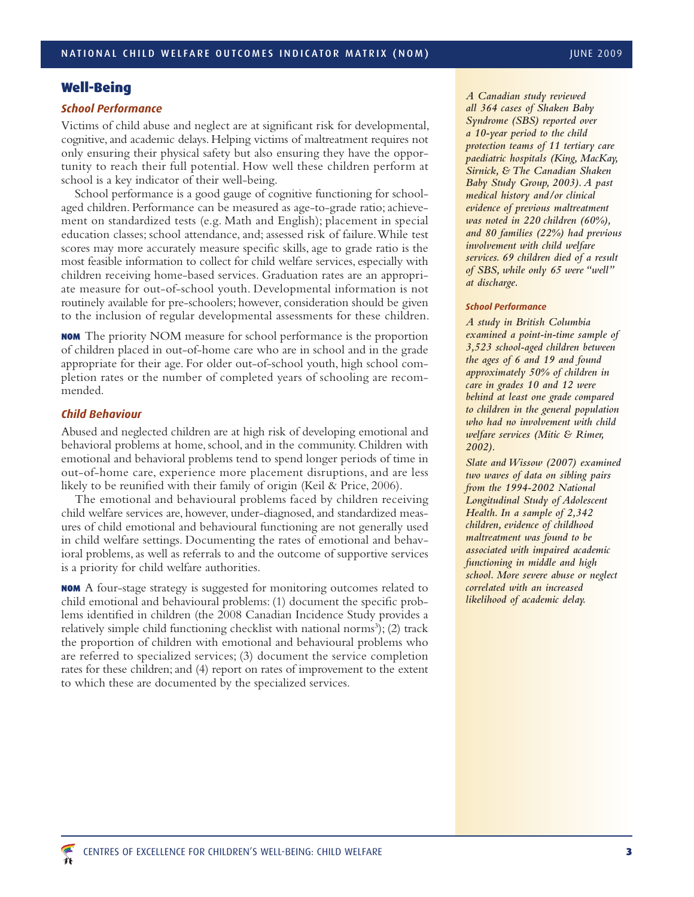## **Well-Being**

## *School Performance*

Victims of child abuse and neglect are at significant risk for developmental, cognitive, and academic delays. Helping victims of maltreatment requires not only ensuring their physical safety but also ensuring they have the opportunity to reach their full potential. How well these children perform at school is a key indicator of their well-being.

School performance is a good gauge of cognitive functioning for schoolaged children. Performance can be measured as age-to-grade ratio; achievement on standardized tests (e.g. Math and English); placement in special education classes; school attendance, and; assessed risk of failure.While test scores may more accurately measure specific skills, age to grade ratio is the most feasible information to collect for child welfare services, especially with children receiving home-based services. Graduation rates are an appropriate measure for out-of-school youth. Developmental information is not routinely available for pre-schoolers; however, consideration should be given to the inclusion of regular developmental assessments for these children.

**NOM** The priority NOM measure for school performance is the proportion of children placed in out-of-home care who are in school and in the grade appropriate for their age. For older out-of-school youth, high school completion rates or the number of completed years of schooling are recommended.

## *Child Behaviour*

Abused and neglected children are at high risk of developing emotional and behavioral problems at home, school, and in the community. Children with emotional and behavioral problems tend to spend longer periods of time in out-of-home care, experience more placement disruptions, and are less likely to be reunified with their family of origin (Keil & Price, 2006).

The emotional and behavioural problems faced by children receiving child welfare services are, however, under-diagnosed, and standardized measures of child emotional and behavioural functioning are not generally used in child welfare settings. Documenting the rates of emotional and behavioral problems, as well as referrals to and the outcome of supportive services is a priority for child welfare authorities.

**NOM** A four-stage strategy is suggested for monitoring outcomes related to child emotional and behavioural problems: (1) document the specific problems identified in children (the 2008 Canadian Incidence Study provides a relatively simple child functioning checklist with national norms<sup>3</sup>); (2) track the proportion of children with emotional and behavioural problems who are referred to specialized services; (3) document the service completion rates for these children; and (4) report on rates of improvement to the extent to which these are documented by the specialized services.

*A Canadian study reviewed all 364 cases of Shaken Baby Syndrome (SBS) reported over a 10-year period to the child protection teams of 11 tertiary care paediatric hospitals (King, MacKay, Sirnick, & The Canadian Shaken Baby Study Group, 2003). A past medical history and/or clinical evidence of previous maltreatment was noted in 220 children (60%), and 80 families (22%) had previous involvement with child welfare services. 69 children died of a result of SBS, while only 65 were "well" at discharge.*

#### *School Performance*

*A study in British Columbia examined a point-in-time sample of 3,523 school-aged children between the ages of 6 and 19 and found approximately 50% of children in care in grades 10 and 12 were behind at least one grade compared to children in the general population who had no involvement with child welfare services (Mitic & Rimer, 2002).*

*Slate and Wissow (2007) examined two waves of data on sibling pairs from the 1994-2002 National Longitudinal Study of Adolescent Health. In a sample of 2,342 children, evidence of childhood maltreatment was found to be associated with impaired academic functioning in middle and high school. More severe abuse or neglect correlated with an increased likelihood of academic delay.*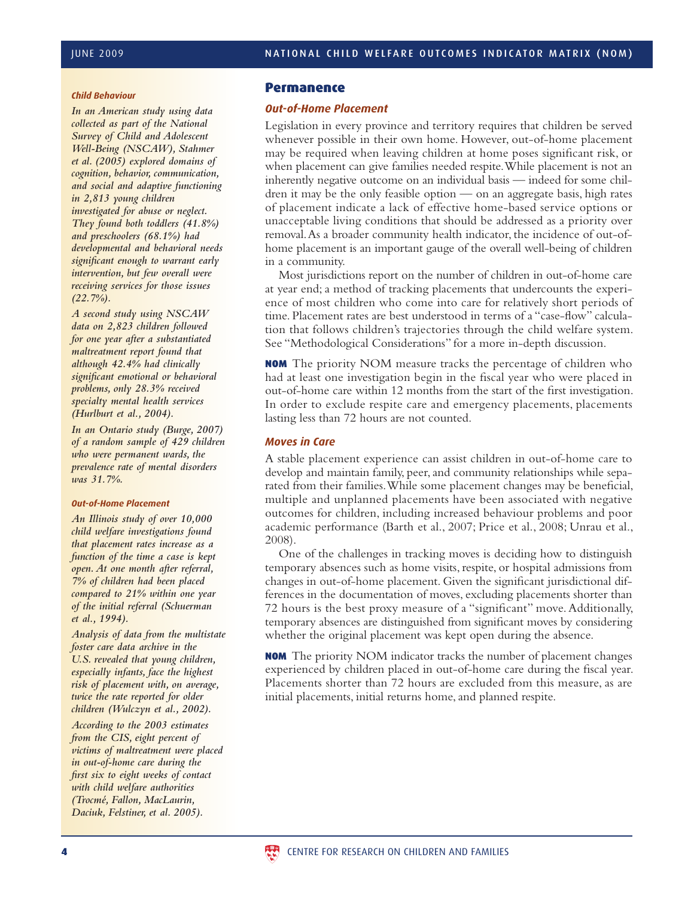#### *Child Behaviour*

*In an American study using data collected as part of the National Survey of Child and Adolescent Well-Being (NSCAW), Stahmer et al. (2005) explored domains of cognition, behavior, communication, and social and adaptive functioning in 2,813 young children investigated for abuse or neglect. They found both toddlers (41.8%) and preschoolers (68.1%) had developmental and behavioral needs significant enough to warrant early intervention, but few overall were receiving services for those issues (22.7%).*

*A second study using NSCAW data on 2,823 children followed for one year after a substantiated maltreatment report found that although 42.4% had clinically significant emotional or behavioral problems, only 28.3% received specialty mental health services (Hurlburt et al., 2004).*

*In an Ontario study (Burge, 2007) of a random sample of 429 children who were permanent wards, the prevalence rate of mental disorders was 31.7%.*

#### *Out-of-Home Placement*

*An Illinois study of over 10,000 child welfare investigations found that placement rates increase as a function of the time a case is kept open. At one month after referral, 7% of children had been placed compared to 21% within one year of the initial referral (Schuerman et al., 1994).*

*Analysis of data from the multistate foster care data archive in the U.S. revealed that young children, especially infants, face the highest risk of placement with, on average, twice the rate reported for older children (Wulczyn et al., 2002).*

*According to the 2003 estimates from the CIS, eight percent of victims of maltreatment were placed in out-of-home care during the first six to eight weeks of contact with child welfare authorities (Trocmé, Fallon, MacLaurin, Daciuk, Felstiner, et al. 2005).*

### **Permanence**

#### *Out-of-Home Placement*

Legislation in every province and territory requires that children be served whenever possible in their own home. However, out-of-home placement may be required when leaving children at home poses significant risk, or when placement can give families needed respite.While placement is not an inherently negative outcome on an individual basis — indeed for some children it may be the only feasible option — on an aggregate basis, high rates of placement indicate a lack of effective home-based service options or unacceptable living conditions that should be addressed as a priority over removal.As a broader community health indicator, the incidence of out-ofhome placement is an important gauge of the overall well-being of children in a community.

Most jurisdictions report on the number of children in out-of-home care at year end; a method of tracking placements that undercounts the experience of most children who come into care for relatively short periods of time. Placement rates are best understood in terms of a "case-flow" calculation that follows children's trajectories through the child welfare system. See "Methodological Considerations" for a more in-depth discussion.

**NOM** The priority NOM measure tracks the percentage of children who had at least one investigation begin in the fiscal year who were placed in out-of-home care within 12 months from the start of the first investigation. In order to exclude respite care and emergency placements, placements lasting less than 72 hours are not counted.

#### *Moves in Care*

A stable placement experience can assist children in out-of-home care to develop and maintain family, peer, and community relationships while separated from their families.While some placement changes may be beneficial, multiple and unplanned placements have been associated with negative outcomes for children, including increased behaviour problems and poor academic performance (Barth et al., 2007; Price et al., 2008; Unrau et al., 2008).

One of the challenges in tracking moves is deciding how to distinguish temporary absences such as home visits, respite, or hospital admissions from changes in out-of-home placement. Given the significant jurisdictional differences in the documentation of moves, excluding placements shorter than 72 hours is the best proxy measure of a "significant" move. Additionally, temporary absences are distinguished from significant moves by considering whether the original placement was kept open during the absence.

**NOM** The priority NOM indicator tracks the number of placement changes experienced by children placed in out-of-home care during the fiscal year. Placements shorter than 72 hours are excluded from this measure, as are initial placements, initial returns home, and planned respite.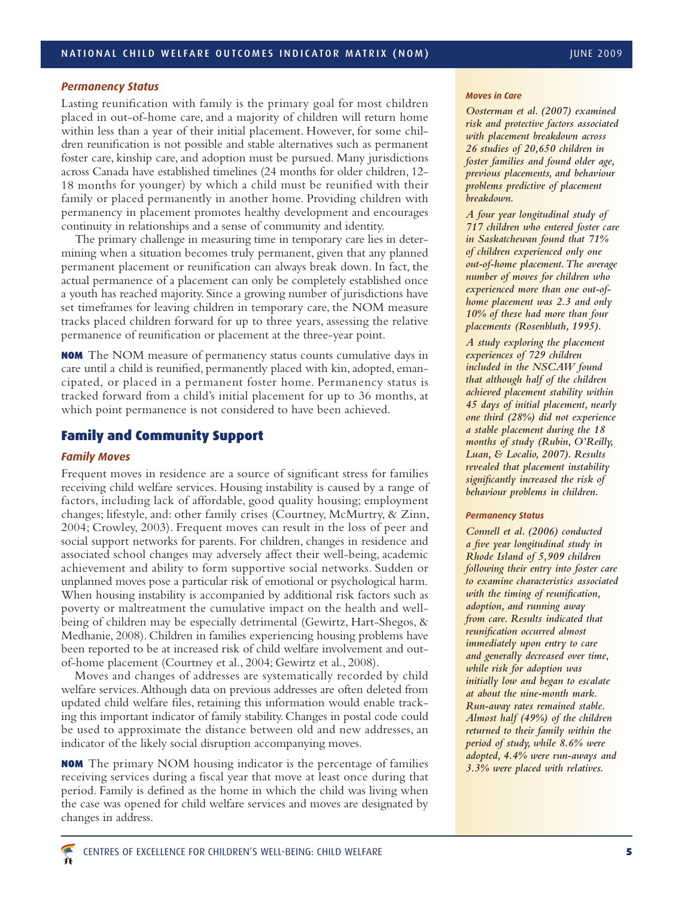#### *Permanency Status*

Lasting reunification with family is the primary goal for most children placed in out-of-home care, and a majority of children will return home within less than a year of their initial placement. However, for some children reunification is not possible and stable alternatives such as permanent foster care, kinship care, and adoption must be pursued. Many jurisdictions across Canada have established timelines (24 months for older children, 12- 18 months for younger) by which a child must be reunified with their family or placed permanently in another home. Providing children with permanency in placement promotes healthy development and encourages continuity in relationships and a sense of community and identity.

The primary challenge in measuring time in temporary care lies in determining when a situation becomes truly permanent, given that any planned permanent placement or reunification can always break down. In fact, the actual permanence of a placement can only be completely established once a youth has reached majority. Since a growing number of jurisdictions have set timeframes for leaving children in temporary care, the NOM measure tracks placed children forward for up to three years, assessing the relative permanence of reunification or placement at the three-year point.

**NOM** The NOM measure of permanency status counts cumulative days in care until a child is reunified, permanently placed with kin, adopted, emancipated, or placed in a permanent foster home. Permanency status is tracked forward from a child's initial placement for up to 36 months, at which point permanence is not considered to have been achieved.

## **Family and Community Support**

#### *Family Moves*

Frequent moves in residence are a source of significant stress for families receiving child welfare services. Housing instability is caused by a range of factors, including lack of affordable, good quality housing; employment changes; lifestyle, and: other family crises (Courtney, McMurtry, & Zinn, 2004; Crowley, 2003). Frequent moves can result in the loss of peer and social support networks for parents. For children, changes in residence and associated school changes may adversely affect their well-being, academic achievement and ability to form supportive social networks. Sudden or unplanned moves pose a particular risk of emotional or psychological harm. When housing instability is accompanied by additional risk factors such as poverty or maltreatment the cumulative impact on the health and wellbeing of children may be especially detrimental (Gewirtz, Hart-Shegos, & Medhanie, 2008). Children in families experiencing housing problems have been reported to be at increased risk of child welfare involvement and outof-home placement (Courtney et al., 2004; Gewirtz et al., 2008).

Moves and changes of addresses are systematically recorded by child welfare services.Although data on previous addresses are often deleted from updated child welfare files, retaining this information would enable tracking this important indicator of family stability. Changes in postal code could be used to approximate the distance between old and new addresses, an indicator of the likely social disruption accompanying moves.

**NOM** The primary NOM housing indicator is the percentage of families receiving services during a fiscal year that move at least once during that period. Family is defined as the home in which the child was living when the case was opened for child welfare services and moves are designated by changes in address.

#### *Moves in Care*

*Oosterman et al. (2007) examined risk and protective factors associated with placement breakdown across 26 studies of 20,650 children in foster families and found older age, previous placements, and behaviour problems predictive of placement breakdown.*

*A four year longitudinal study of 717 children who entered foster care in Saskatchewan found that 71% of children experienced only one out-of-home placement.The average number of moves for children who experienced more than one out-ofhome placement was 2.3 and only 10% of these had more than four placements (Rosenbluth, 1995).*

*A study exploring the placement experiences of 729 children included in the NSCAW found that although half of the children achieved placement stability within 45 days of initial placement, nearly one third (28%) did not experience a stable placement during the 18 months of study (Rubin, O'Reilly, Luan, & Localio, 2007). Results revealed that placement instability significantly increased the risk of behaviour problems in children.*

#### *Permanency Status*

*Connell et al. (2006) conducted a five year longitudinal study in Rhode Island of 5,909 children following their entry into foster care to examine characteristics associated with the timing of reunification, adoption, and running away from care. Results indicated that reunification occurred almost immediately upon entry to care and generally decreased over time, while risk for adoption was initially low and began to escalate at about the nine-month mark. Run-away rates remained stable. Almost half (49%) of the children returned to their family within the period of study, while 8.6% were adopted, 4.4% were run-aways and 3.3% were placed with relatives.*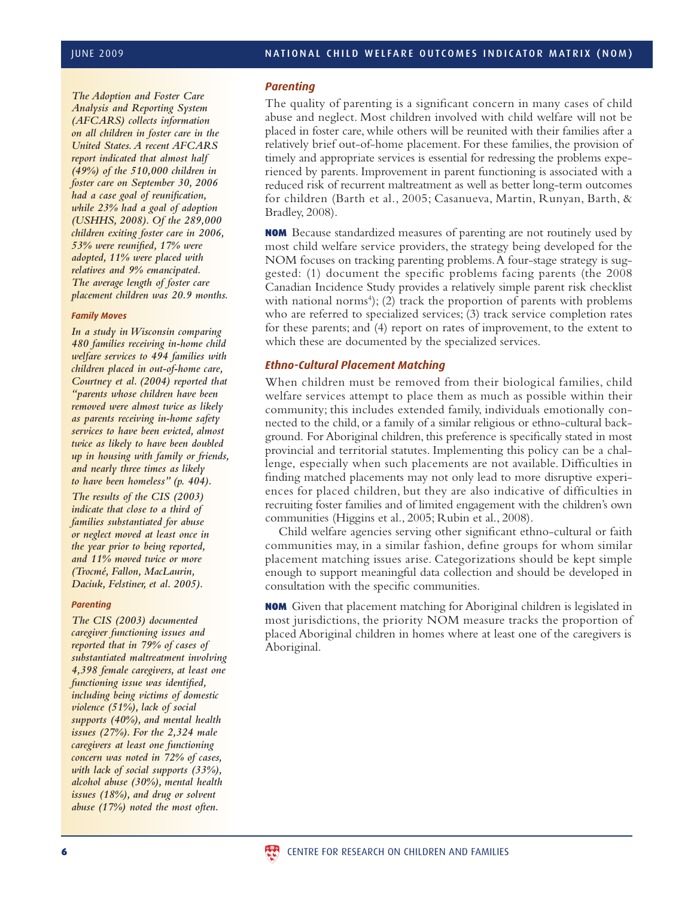*The Adoption and Foster Care Analysis and Reporting System (AFCARS) collects information on all children in foster care in the United States. A recent AFCARS report indicated that almost half (49%) of the 510,000 children in foster care on September 30, 2006 had a case goal of reunification, while 23% had a goal of adoption (USHHS, 2008). Of the 289,000 children exiting foster care in 2006, 53% were reunified, 17% were adopted, 11% were placed with relatives and 9% emancipated. The average length of foster care placement children was 20.9 months.*

#### *Family Moves*

*In a study in Wisconsin comparing 480 families receiving in-home child welfare services to 494 families with children placed in out-of-home care, Courtney et al. (2004) reported that "parents whose children have been removed were almost twice as likely as parents receiving in-home safety services to have been evicted, almost twice as likely to have been doubled up in housing with family or friends, and nearly three times as likely to have been homeless" (p. 404).*

*The results of the CIS (2003) indicate that close to a third of families substantiated for abuse or neglect moved at least once in the year prior to being reported, and 11% moved twice or more (Trocmé, Fallon, MacLaurin, Daciuk, Felstiner, et al. 2005).*

#### *Parenting*

*The CIS (2003) documented caregiver functioning issues and reported that in 79% of cases of substantiated maltreatment involving 4,398 female caregivers, at least one functioning issue was identified, including being victims of domestic violence (51%), lack of social supports (40%), and mental health issues (27%). For the 2,324 male caregivers at least one functioning concern was noted in 72% of cases, with lack of social supports (33%), alcohol abuse (30%), mental health issues (18%), and drug or solvent abuse (17%) noted the most often.*

### *Parenting*

The quality of parenting is a significant concern in many cases of child abuse and neglect. Most children involved with child welfare will not be placed in foster care, while others will be reunited with their families after a relatively brief out-of-home placement. For these families, the provision of timely and appropriate services is essential for redressing the problems experienced by parents. Improvement in parent functioning is associated with a reduced risk of recurrent maltreatment as well as better long-term outcomes for children (Barth et al., 2005; Casanueva, Martin, Runyan, Barth, & Bradley, 2008).

**NOM** Because standardized measures of parenting are not routinely used by most child welfare service providers, the strategy being developed for the NOM focuses on tracking parenting problems.A four-stage strategy is suggested: (1) document the specific problems facing parents (the 2008 Canadian Incidence Study provides a relatively simple parent risk checklist with national norms<sup>4</sup>); (2) track the proportion of parents with problems who are referred to specialized services; (3) track service completion rates for these parents; and (4) report on rates of improvement, to the extent to which these are documented by the specialized services.

## *Ethno-Cultural Placement Matching*

When children must be removed from their biological families, child welfare services attempt to place them as much as possible within their community; this includes extended family, individuals emotionally connected to the child, or a family of a similar religious or ethno-cultural background. For Aboriginal children, this preference is specifically stated in most provincial and territorial statutes. Implementing this policy can be a challenge, especially when such placements are not available. Difficulties in finding matched placements may not only lead to more disruptive experiences for placed children, but they are also indicative of difficulties in recruiting foster families and of limited engagement with the children's own communities (Higgins et al., 2005; Rubin et al., 2008).

Child welfare agencies serving other significant ethno-cultural or faith communities may, in a similar fashion, define groups for whom similar placement matching issues arise. Categorizations should be kept simple enough to support meaningful data collection and should be developed in consultation with the specific communities.

**NOM** Given that placement matching for Aboriginal children is legislated in most jurisdictions, the priority NOM measure tracks the proportion of placed Aboriginal children in homes where at least one of the caregivers is Aboriginal.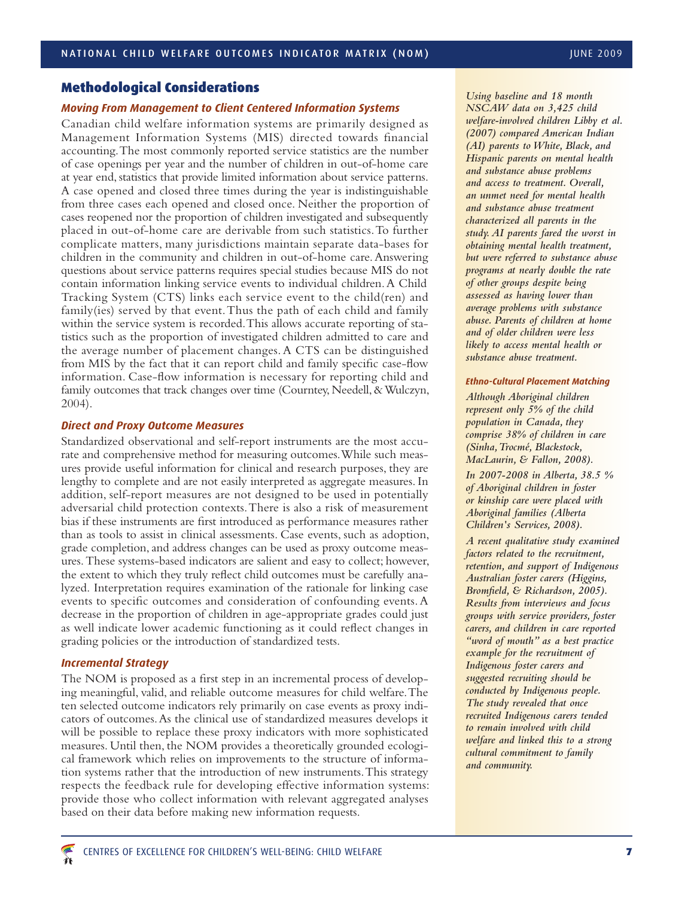## **Methodological Considerations**

#### *Moving From Management to Client Centered Information Systems*

Canadian child welfare information systems are primarily designed as Management Information Systems (MIS) directed towards financial accounting.The most commonly reported service statistics are the number of case openings per year and the number of children in out-of-home care at year end, statistics that provide limited information about service patterns. A case opened and closed three times during the year is indistinguishable from three cases each opened and closed once. Neither the proportion of cases reopened nor the proportion of children investigated and subsequently placed in out-of-home care are derivable from such statistics.To further complicate matters, many jurisdictions maintain separate data-bases for children in the community and children in out-of-home care.Answering questions about service patterns requires special studies because MIS do not contain information linking service events to individual children.A Child Tracking System (CTS) links each service event to the child(ren) and family(ies) served by that event.Thus the path of each child and family within the service system is recorded.This allows accurate reporting of statistics such as the proportion of investigated children admitted to care and the average number of placement changes. A CTS can be distinguished from MIS by the fact that it can report child and family specific case-flow information. Case-flow information is necessary for reporting child and family outcomes that track changes over time (Courntey, Needell, & Wulczyn, 2004).

## *Direct and Proxy Outcome Measures*

Standardized observational and self-report instruments are the most accurate and comprehensive method for measuring outcomes.While such measures provide useful information for clinical and research purposes, they are lengthy to complete and are not easily interpreted as aggregate measures. In addition, self-report measures are not designed to be used in potentially adversarial child protection contexts.There is also a risk of measurement bias if these instruments are first introduced as performance measures rather than as tools to assist in clinical assessments. Case events, such as adoption, grade completion, and address changes can be used as proxy outcome measures. These systems-based indicators are salient and easy to collect; however, the extent to which they truly reflect child outcomes must be carefully analyzed. Interpretation requires examination of the rationale for linking case events to specific outcomes and consideration of confounding events. A decrease in the proportion of children in age-appropriate grades could just as well indicate lower academic functioning as it could reflect changes in grading policies or the introduction of standardized tests.

#### *Incremental Strategy*

The NOM is proposed as a first step in an incremental process of developing meaningful, valid, and reliable outcome measures for child welfare.The ten selected outcome indicators rely primarily on case events as proxy indicators of outcomes.As the clinical use of standardized measures develops it will be possible to replace these proxy indicators with more sophisticated measures. Until then, the NOM provides a theoretically grounded ecological framework which relies on improvements to the structure of information systems rather that the introduction of new instruments.This strategy respects the feedback rule for developing effective information systems: provide those who collect information with relevant aggregated analyses based on their data before making new information requests.

*Using baseline and 18 month NSCAW data on 3,425 child welfare-involved children Libby et al. (2007) compared American Indian (AI) parents to White, Black, and Hispanic parents on mental health and substance abuse problems and access to treatment. Overall, an unmet need for mental health and substance abuse treatment characterized all parents in the study. AI parents fared the worst in obtaining mental health treatment, but were referred to substance abuse programs at nearly double the rate of other groups despite being assessed as having lower than average problems with substance abuse. Parents of children at home and of older children were less likely to access mental health or substance abuse treatment.*

#### *Ethno-Cultural Placement Matching*

*Although Aboriginal children represent only 5% of the child population in Canada, they comprise 38% of children in care (Sinha,Trocmé, Blackstock, MacLaurin, & Fallon, 2008).*

*In 2007-2008 in Alberta, 38.5 % of Aboriginal children in foster or kinship care were placed with Aboriginal families (Alberta Children's Services, 2008).*

*A recent qualitative study examined factors related to the recruitment, retention, and support of Indigenous Australian foster carers (Higgins, Bromfield, & Richardson, 2005). Results from interviews and focus groups with service providers, foster carers, and children in care reported "word of mouth" as a best practice example for the recruitment of Indigenous foster carers and suggested recruiting should be conducted by Indigenous people. The study revealed that once recruited Indigenous carers tended to remain involved with child welfare and linked this to a strong cultural commitment to family and community.*